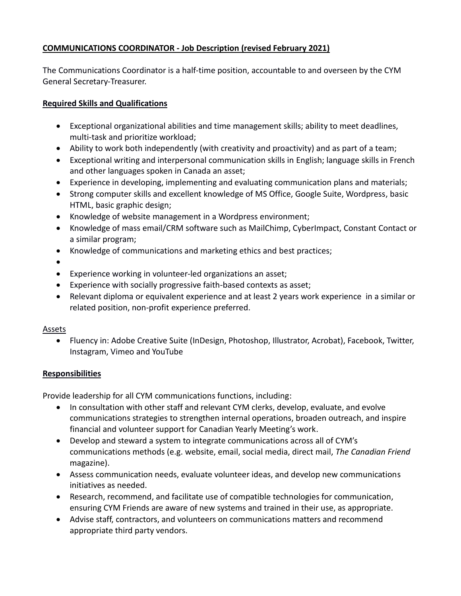## **COMMUNICATIONS COORDINATOR - Job Description (revised February 2021)**

The Communications Coordinator is a half-time position, accountable to and overseen by the CYM General Secretary-Treasurer.

## **Required Skills and Qualifications**

- Exceptional organizational abilities and time management skills; ability to meet deadlines, multi-task and prioritize workload;
- Ability to work both independently (with creativity and proactivity) and as part of a team;
- Exceptional writing and interpersonal communication skills in English; language skills in French and other languages spoken in Canada an asset;
- Experience in developing, implementing and evaluating communication plans and materials;
- Strong computer skills and excellent knowledge of MS Office, Google Suite, Wordpress, basic HTML, basic graphic design;
- Knowledge of website management in a Wordpress environment;
- Knowledge of mass email/CRM software such as MailChimp, CyberImpact, Constant Contact or a similar program;
- Knowledge of communications and marketing ethics and best practices;
- •
- Experience working in volunteer-led organizations an asset;
- Experience with socially progressive faith-based contexts as asset;
- Relevant diploma or equivalent experience and at least 2 years work experience in a similar or related position, non-profit experience preferred.

## Assets

• Fluency in: Adobe Creative Suite (InDesign, Photoshop, Illustrator, Acrobat), Facebook, Twitter, Instagram, Vimeo and YouTube

## **Responsibilities**

Provide leadership for all CYM communications functions, including:

- In consultation with other staff and relevant CYM clerks, develop, evaluate, and evolve communications strategies to strengthen internal operations, broaden outreach, and inspire financial and volunteer support for Canadian Yearly Meeting's work.
- Develop and steward a system to integrate communications across all of CYM's communications methods (e.g. website, email, social media, direct mail, *The Canadian Friend* magazine).
- Assess communication needs, evaluate volunteer ideas, and develop new communications initiatives as needed.
- Research, recommend, and facilitate use of compatible technologies for communication, ensuring CYM Friends are aware of new systems and trained in their use, as appropriate.
- Advise staff, contractors, and volunteers on communications matters and recommend appropriate third party vendors.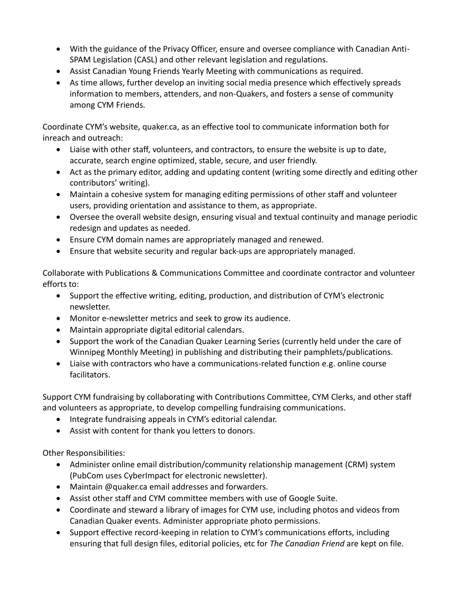- With the guidance of the Privacy Officer, ensure and oversee compliance with Canadian Anti-SPAM Legislation (CASL) and other relevant legislation and regulations.
- Assist Canadian Young Friends Yearly Meeting with communications as required.
- As time allows, further develop an inviting social media presence which effectively spreads information to members, attenders, and non-Quakers, and fosters a sense of community among CYM Friends.

Coordinate CYM's website, quaker.ca, as an effective tool to communicate information both for inreach and outreach:

- Liaise with other staff, volunteers, and contractors, to ensure the website is up to date, accurate, search engine optimized, stable, secure, and user friendly.
- Act as the primary editor, adding and updating content (writing some directly and editing other contributors' writing).
- Maintain a cohesive system for managing editing permissions of other staff and volunteer users, providing orientation and assistance to them, as appropriate.
- Oversee the overall website design, ensuring visual and textual continuity and manage periodic redesign and updates as needed.
- Ensure CYM domain names are appropriately managed and renewed.
- Ensure that website security and regular back-ups are appropriately managed.

Collaborate with Publications & Communications Committee and coordinate contractor and volunteer efforts to:

- Support the effective writing, editing, production, and distribution of CYM's electronic newsletter.
- Monitor e-newsletter metrics and seek to grow its audience.
- Maintain appropriate digital editorial calendars.
- Support the work of the Canadian Quaker Learning Series (currently held under the care of Winnipeg Monthly Meeting) in publishing and distributing their pamphlets/publications.
- Liaise with contractors who have a communications-related function e.g. online course facilitators.

Support CYM fundraising by collaborating with Contributions Committee, CYM Clerks, and other staff and volunteers as appropriate, to develop compelling fundraising communications.

- Integrate fundraising appeals in CYM's editorial calendar.
- Assist with content for thank you letters to donors.

Other Responsibilities:

- Administer online email distribution/community relationship management (CRM) system (PubCom uses CyberImpact for electronic newsletter).
- Maintain @quaker.ca email addresses and forwarders.
- Assist other staff and CYM committee members with use of Google Suite.
- Coordinate and steward a library of images for CYM use, including photos and videos from Canadian Quaker events. Administer appropriate photo permissions.
- Support effective record-keeping in relation to CYM's communications efforts, including ensuring that full design files, editorial policies, etc for *The Canadian Friend* are kept on file.